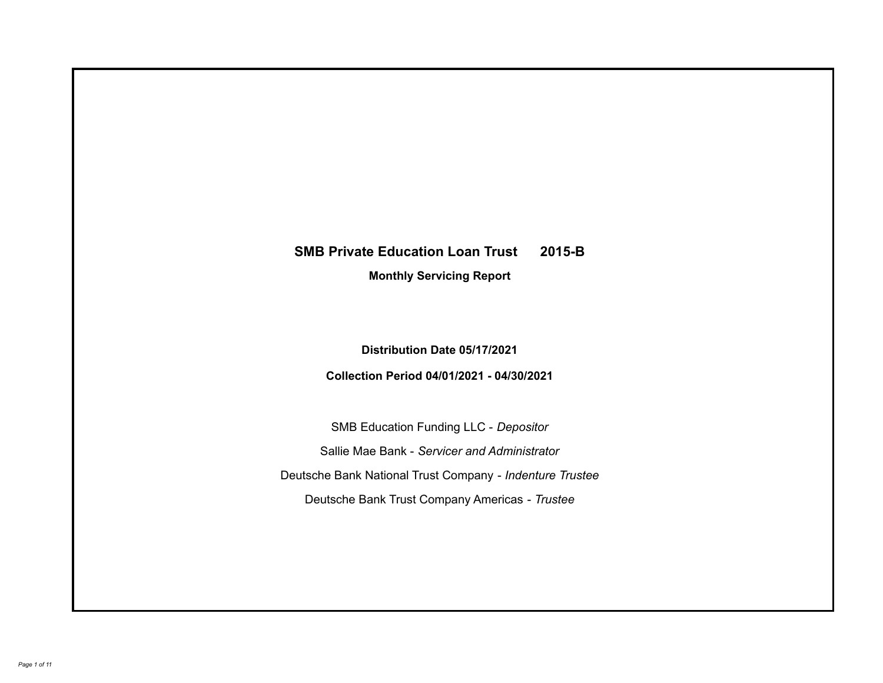# **SMB Private Education Loan Trust 2015-B**

**Monthly Servicing Report**

**Distribution Date 05/17/2021**

**Collection Period 04/01/2021 - 04/30/2021**

SMB Education Funding LLC - *Depositor* Sallie Mae Bank - *Servicer and Administrator* Deutsche Bank National Trust Company - *Indenture Trustee* Deutsche Bank Trust Company Americas - *Trustee*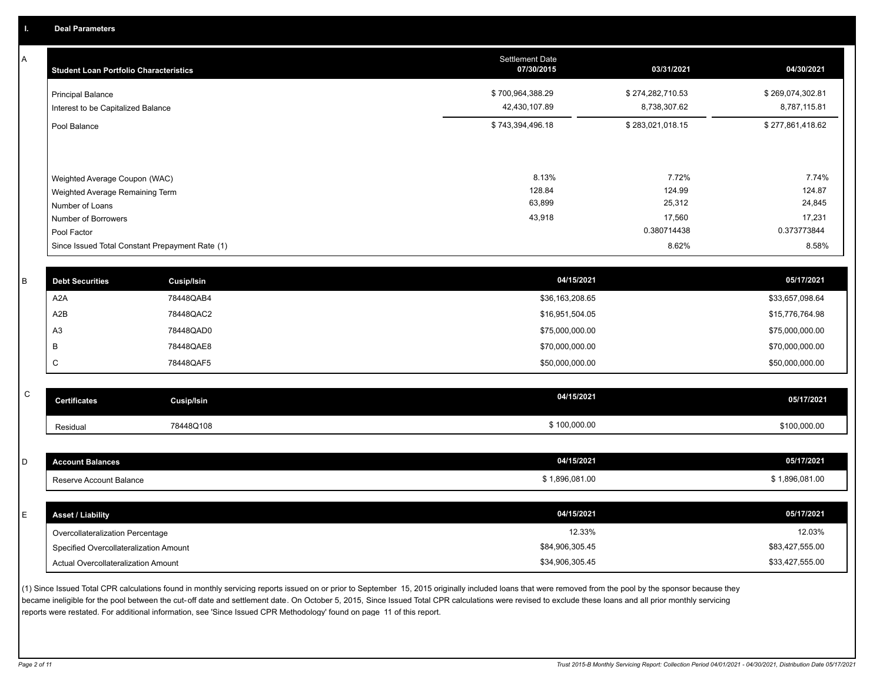| <b>Student Loan Portfolio Characteristics</b>                  | <b>Settlement Date</b><br>07/30/2015 | 03/31/2021                       | 04/30/2021                       |
|----------------------------------------------------------------|--------------------------------------|----------------------------------|----------------------------------|
| <b>Principal Balance</b><br>Interest to be Capitalized Balance | \$700,964,388.29<br>42,430,107.89    | \$274,282,710.53<br>8,738,307.62 | \$269,074,302.81<br>8,787,115.81 |
| Pool Balance                                                   | \$743,394,496.18                     | \$283,021,018.15                 | \$277,861,418.62                 |
| Weighted Average Coupon (WAC)                                  | 8.13%                                | 7.72%                            | 7.74%                            |
| Weighted Average Remaining Term                                | 128.84                               | 124.99                           | 124.87                           |
| Number of Loans                                                | 63,899                               | 25,312                           | 24,845                           |
| Number of Borrowers                                            | 43,918                               | 17,560                           | 17,231                           |
| Pool Factor                                                    |                                      | 0.380714438                      | 0.373773844                      |
| Since Issued Total Constant Prepayment Rate (1)                |                                      | 8.62%                            | 8.58%                            |

| <b>Debt Securities</b> | Cusip/Isin | 04/15/2021      | 05/17/2021      |
|------------------------|------------|-----------------|-----------------|
| A <sub>2</sub> A       | 78448QAB4  | \$36,163,208.65 | \$33,657,098.64 |
| A2B                    | 78448QAC2  | \$16,951,504.05 | \$15,776,764.98 |
| A3                     | 78448QAD0  | \$75,000,000.00 | \$75,000,000.00 |
|                        | 78448QAE8  | \$70,000,000.00 | \$70,000,000.00 |
|                        | 78448QAF5  | \$50,000,000.00 | \$50,000,000.00 |
|                        |            |                 |                 |

| ⌒<br>ັ | <b>Certificates</b> | Cusip/Isin | 04/15/2021   | 05/17/2021   |
|--------|---------------------|------------|--------------|--------------|
|        | Residual            | 78448Q108  | \$100,000.00 | \$100,000.00 |

| <b>Account Balances</b>  | 04/15/2021     | 05/17/2021     |
|--------------------------|----------------|----------------|
| Reserve Account Balance  | \$1,896,081.00 | \$1,896,081.00 |
|                          |                |                |
| <b>Asset / Liability</b> | 04/15/2021     | 05/17/2021     |

| ASSET / LIADIIITY                      |                 | VY 1774            |
|----------------------------------------|-----------------|--------------------|
| Overcollateralization Percentage       | 12.33%          | 12.03%             |
| Specified Overcollateralization Amount | \$84,906,305.45 | \$83,427,555.00    |
| Actual Overcollateralization Amount    | \$34,906,305.45 | \$33,427,555.00    |
|                                        |                 | <b>947 BIZUZ L</b> |

(1) Since Issued Total CPR calculations found in monthly servicing reports issued on or prior to September 15, 2015 originally included loans that were removed from the pool by the sponsor because they became ineligible for the pool between the cut-off date and settlement date. On October 5, 2015, Since Issued Total CPR calculations were revised to exclude these loans and all prior monthly servicing reports were restated. For additional information, see 'Since Issued CPR Methodology' found on page 11 of this report.

A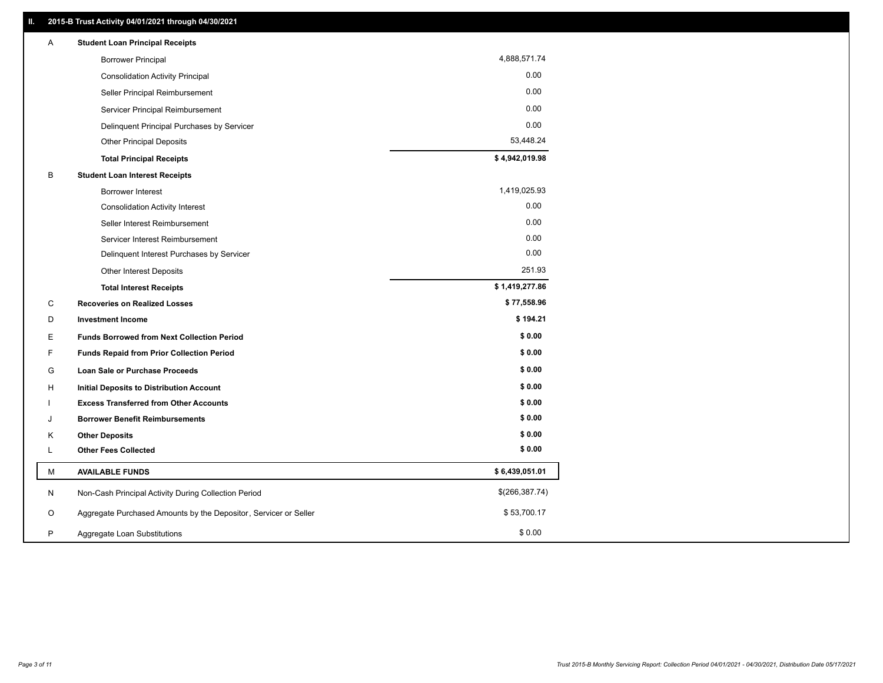| Α | <b>Student Loan Principal Receipts</b>                           |                |
|---|------------------------------------------------------------------|----------------|
|   | <b>Borrower Principal</b>                                        | 4,888,571.74   |
|   | <b>Consolidation Activity Principal</b>                          | 0.00           |
|   | Seller Principal Reimbursement                                   | 0.00           |
|   | Servicer Principal Reimbursement                                 | 0.00           |
|   | Delinquent Principal Purchases by Servicer                       | 0.00           |
|   | <b>Other Principal Deposits</b>                                  | 53,448.24      |
|   | <b>Total Principal Receipts</b>                                  | \$4,942,019.98 |
| B | <b>Student Loan Interest Receipts</b>                            |                |
|   | <b>Borrower Interest</b>                                         | 1,419,025.93   |
|   | <b>Consolidation Activity Interest</b>                           | 0.00           |
|   | Seller Interest Reimbursement                                    | 0.00           |
|   | Servicer Interest Reimbursement                                  | 0.00           |
|   | Delinquent Interest Purchases by Servicer                        | 0.00           |
|   | Other Interest Deposits                                          | 251.93         |
|   | <b>Total Interest Receipts</b>                                   | \$1,419,277.86 |
| C | <b>Recoveries on Realized Losses</b>                             | \$77,558.96    |
| D | <b>Investment Income</b>                                         | \$194.21       |
| E | <b>Funds Borrowed from Next Collection Period</b>                | \$0.00         |
| F | <b>Funds Repaid from Prior Collection Period</b>                 | \$0.00         |
| G | Loan Sale or Purchase Proceeds                                   | \$0.00         |
| н | Initial Deposits to Distribution Account                         | \$0.00         |
|   | <b>Excess Transferred from Other Accounts</b>                    | \$0.00         |
| J | <b>Borrower Benefit Reimbursements</b>                           | \$0.00         |
| Κ | <b>Other Deposits</b>                                            | \$0.00         |
| L | <b>Other Fees Collected</b>                                      | \$0.00         |
| M | <b>AVAILABLE FUNDS</b>                                           | \$6,439,051.01 |
| N | Non-Cash Principal Activity During Collection Period             | \$(266,387.74) |
| O | Aggregate Purchased Amounts by the Depositor, Servicer or Seller | \$53,700.17    |
| P | Aggregate Loan Substitutions                                     | \$0.00         |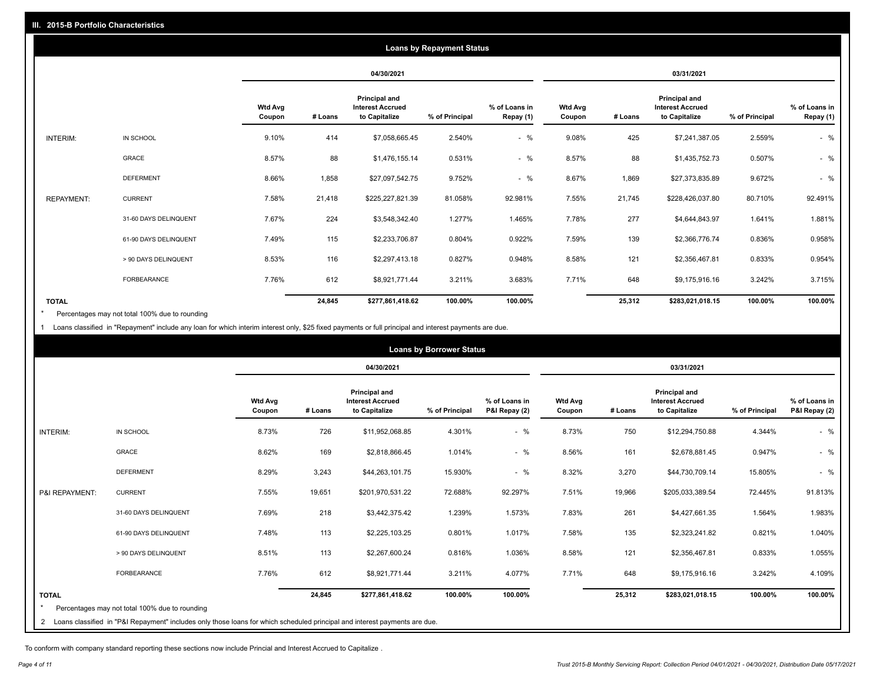|                   |                       |                          |         |                                                           | <b>Loans by Repayment Status</b> |                            |                          |         |                                                                  |                |                            |
|-------------------|-----------------------|--------------------------|---------|-----------------------------------------------------------|----------------------------------|----------------------------|--------------------------|---------|------------------------------------------------------------------|----------------|----------------------------|
|                   |                       |                          |         | 04/30/2021                                                |                                  |                            |                          |         | 03/31/2021                                                       |                |                            |
|                   |                       | <b>Wtd Avg</b><br>Coupon | # Loans | Principal and<br><b>Interest Accrued</b><br>to Capitalize | % of Principal                   | % of Loans in<br>Repay (1) | <b>Wtd Avg</b><br>Coupon | # Loans | <b>Principal and</b><br><b>Interest Accrued</b><br>to Capitalize | % of Principal | % of Loans in<br>Repay (1) |
| INTERIM:          | IN SCHOOL             | 9.10%                    | 414     | \$7,058,665.45                                            | 2.540%                           | $-$ %                      | 9.08%                    | 425     | \$7,241,387.05                                                   | 2.559%         | $-$ %                      |
|                   | GRACE                 | 8.57%                    | 88      | \$1,476,155.14                                            | 0.531%                           | $-$ %                      | 8.57%                    | 88      | \$1,435,752.73                                                   | 0.507%         | $-$ %                      |
|                   | <b>DEFERMENT</b>      | 8.66%                    | 1,858   | \$27,097,542.75                                           | 9.752%                           | $-$ %                      | 8.67%                    | 1,869   | \$27,373,835.89                                                  | 9.672%         | $-$ %                      |
| <b>REPAYMENT:</b> | <b>CURRENT</b>        | 7.58%                    | 21,418  | \$225,227,821.39                                          | 81.058%                          | 92.981%                    | 7.55%                    | 21,745  | \$228,426,037.80                                                 | 80.710%        | 92.491%                    |
|                   | 31-60 DAYS DELINQUENT | 7.67%                    | 224     | \$3,548,342.40                                            | 1.277%                           | 1.465%                     | 7.78%                    | 277     | \$4,644,843.97                                                   | 1.641%         | 1.881%                     |
|                   | 61-90 DAYS DELINQUENT | 7.49%                    | 115     | \$2,233,706.87                                            | 0.804%                           | 0.922%                     | 7.59%                    | 139     | \$2,366,776.74                                                   | 0.836%         | 0.958%                     |
|                   | > 90 DAYS DELINQUENT  | 8.53%                    | 116     | \$2,297,413.18                                            | 0.827%                           | 0.948%                     | 8.58%                    | 121     | \$2,356,467.81                                                   | 0.833%         | 0.954%                     |
|                   | FORBEARANCE           | 7.76%                    | 612     | \$8,921,771.44                                            | 3.211%                           | 3.683%                     | 7.71%                    | 648     | \$9,175,916.16                                                   | 3.242%         | 3.715%                     |
| <b>TOTAL</b>      |                       |                          | 24,845  | \$277,861,418.62                                          | 100.00%                          | 100.00%                    |                          | 25,312  | \$283,021,018.15                                                 | 100.00%        | 100.00%                    |

Percentages may not total 100% due to rounding \*

1 Loans classified in "Repayment" include any loan for which interim interest only, \$25 fixed payments or full principal and interest payments are due.

|                |                                                                                                                              |                          |         |                                                                  | <b>Loans by Borrower Status</b> |                                |                          |         |                                                           |                |                                |
|----------------|------------------------------------------------------------------------------------------------------------------------------|--------------------------|---------|------------------------------------------------------------------|---------------------------------|--------------------------------|--------------------------|---------|-----------------------------------------------------------|----------------|--------------------------------|
|                |                                                                                                                              |                          |         | 04/30/2021                                                       |                                 |                                |                          |         | 03/31/2021                                                |                |                                |
|                |                                                                                                                              | <b>Wtd Avg</b><br>Coupon | # Loans | <b>Principal and</b><br><b>Interest Accrued</b><br>to Capitalize | % of Principal                  | % of Loans in<br>P&I Repay (2) | <b>Wtd Avg</b><br>Coupon | # Loans | Principal and<br><b>Interest Accrued</b><br>to Capitalize | % of Principal | % of Loans in<br>P&I Repay (2) |
| INTERIM:       | IN SCHOOL                                                                                                                    | 8.73%                    | 726     | \$11,952,068.85                                                  | 4.301%                          | $-$ %                          | 8.73%                    | 750     | \$12,294,750.88                                           | 4.344%         | $-$ %                          |
|                | GRACE                                                                                                                        | 8.62%                    | 169     | \$2,818,866.45                                                   | 1.014%                          | $-$ %                          | 8.56%                    | 161     | \$2,678,881.45                                            | 0.947%         | $-$ %                          |
|                | <b>DEFERMENT</b>                                                                                                             | 8.29%                    | 3,243   | \$44,263,101.75                                                  | 15.930%                         | $-$ %                          | 8.32%                    | 3,270   | \$44,730,709.14                                           | 15.805%        | $-$ %                          |
| P&I REPAYMENT: | <b>CURRENT</b>                                                                                                               | 7.55%                    | 19,651  | \$201,970,531.22                                                 | 72.688%                         | 92.297%                        | 7.51%                    | 19,966  | \$205,033,389.54                                          | 72.445%        | 91.813%                        |
|                | 31-60 DAYS DELINQUENT                                                                                                        | 7.69%                    | 218     | \$3,442,375.42                                                   | 1.239%                          | 1.573%                         | 7.83%                    | 261     | \$4,427,661.35                                            | 1.564%         | 1.983%                         |
|                | 61-90 DAYS DELINQUENT                                                                                                        | 7.48%                    | 113     | \$2,225,103.25                                                   | 0.801%                          | 1.017%                         | 7.58%                    | 135     | \$2,323,241.82                                            | 0.821%         | 1.040%                         |
|                | > 90 DAYS DELINQUENT                                                                                                         | 8.51%                    | 113     | \$2,267,600.24                                                   | 0.816%                          | 1.036%                         | 8.58%                    | 121     | \$2,356,467.81                                            | 0.833%         | 1.055%                         |
|                | <b>FORBEARANCE</b>                                                                                                           | 7.76%                    | 612     | \$8,921,771.44                                                   | 3.211%                          | 4.077%                         | 7.71%                    | 648     | \$9,175,916.16                                            | 3.242%         | 4.109%                         |
| <b>TOTAL</b>   | Percentages may not total 100% due to rounding                                                                               |                          | 24,845  | \$277,861,418.62                                                 | 100.00%                         | 100.00%                        |                          | 25,312  | \$283,021,018.15                                          | 100.00%        | 100.00%                        |
|                | 2 Loans classified in "P&I Repayment" includes only those loans for which scheduled principal and interest payments are due. |                          |         |                                                                  |                                 |                                |                          |         |                                                           |                |                                |

To conform with company standard reporting these sections now include Princial and Interest Accrued to Capitalize .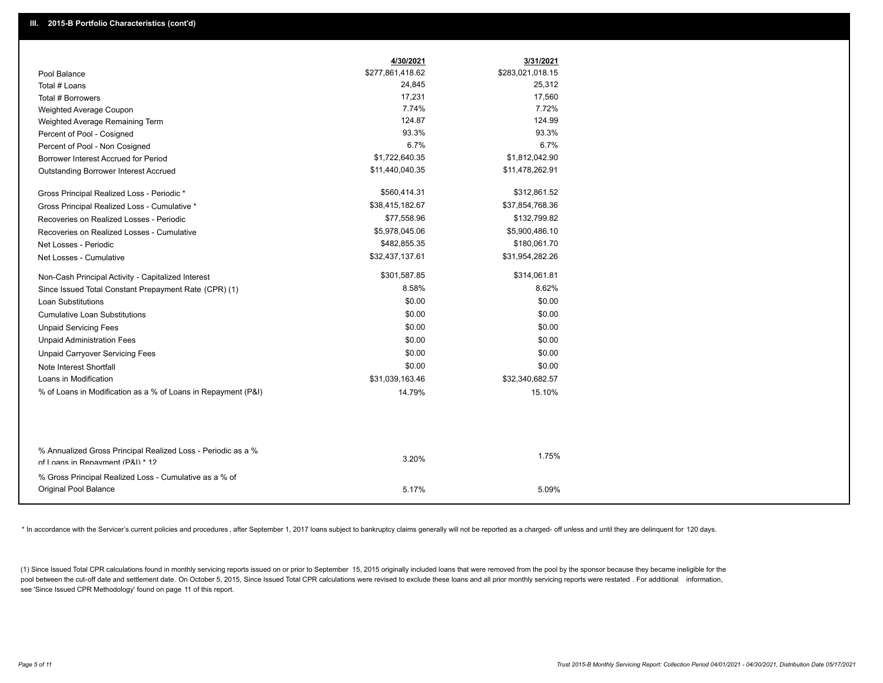|                                                                                                  | 4/30/2021        | 3/31/2021        |
|--------------------------------------------------------------------------------------------------|------------------|------------------|
| Pool Balance                                                                                     | \$277,861,418.62 | \$283,021,018.15 |
| Total # Loans                                                                                    | 24,845           | 25,312           |
| Total # Borrowers                                                                                | 17,231           | 17,560           |
| Weighted Average Coupon                                                                          | 7.74%            | 7.72%            |
| Weighted Average Remaining Term                                                                  | 124.87           | 124.99           |
| Percent of Pool - Cosigned                                                                       | 93.3%            | 93.3%            |
| Percent of Pool - Non Cosigned                                                                   | 6.7%             | 6.7%             |
| Borrower Interest Accrued for Period                                                             | \$1,722,640.35   | \$1,812,042.90   |
| Outstanding Borrower Interest Accrued                                                            | \$11,440,040.35  | \$11,478,262.91  |
| Gross Principal Realized Loss - Periodic *                                                       | \$560,414.31     | \$312,861.52     |
| Gross Principal Realized Loss - Cumulative *                                                     | \$38,415,182.67  | \$37,854,768.36  |
| Recoveries on Realized Losses - Periodic                                                         | \$77,558.96      | \$132,799.82     |
| Recoveries on Realized Losses - Cumulative                                                       | \$5,978,045.06   | \$5,900,486.10   |
| Net Losses - Periodic                                                                            | \$482,855.35     | \$180,061.70     |
| Net Losses - Cumulative                                                                          | \$32,437,137.61  | \$31,954,282.26  |
| Non-Cash Principal Activity - Capitalized Interest                                               | \$301,587.85     | \$314,061.81     |
| Since Issued Total Constant Prepayment Rate (CPR) (1)                                            | 8.58%            | 8.62%            |
| <b>Loan Substitutions</b>                                                                        | \$0.00           | \$0.00           |
| <b>Cumulative Loan Substitutions</b>                                                             | \$0.00           | \$0.00           |
| <b>Unpaid Servicing Fees</b>                                                                     | \$0.00           | \$0.00           |
| <b>Unpaid Administration Fees</b>                                                                | \$0.00           | \$0.00           |
| <b>Unpaid Carryover Servicing Fees</b>                                                           | \$0.00           | \$0.00           |
| Note Interest Shortfall                                                                          | \$0.00           | \$0.00           |
| Loans in Modification                                                                            | \$31,039,163.46  | \$32,340,682.57  |
| % of Loans in Modification as a % of Loans in Repayment (P&I)                                    | 14.79%           | 15.10%           |
|                                                                                                  |                  |                  |
| % Annualized Gross Principal Realized Loss - Periodic as a %<br>of Loans in Repayment (P&I) * 12 | 3.20%            | 1.75%            |
|                                                                                                  |                  |                  |
| % Gross Principal Realized Loss - Cumulative as a % of                                           |                  |                  |
| Original Pool Balance                                                                            | 5.17%            | 5.09%            |

\* In accordance with the Servicer's current policies and procedures, after September 1, 2017 loans subject to bankruptcy claims generally will not be reported as a charged- off unless and until they are delinquent for 120

(1) Since Issued Total CPR calculations found in monthly servicing reports issued on or prior to September 15, 2015 originally included loans that were removed from the pool by the sponsor because they became ineligible fo pool between the cut-off date and settlement date. On October 5, 2015, Since Issued Total CPR calculations were revised to exclude these loans and all prior monthly servicing reports were restated . For additional informat see 'Since Issued CPR Methodology' found on page 11 of this report.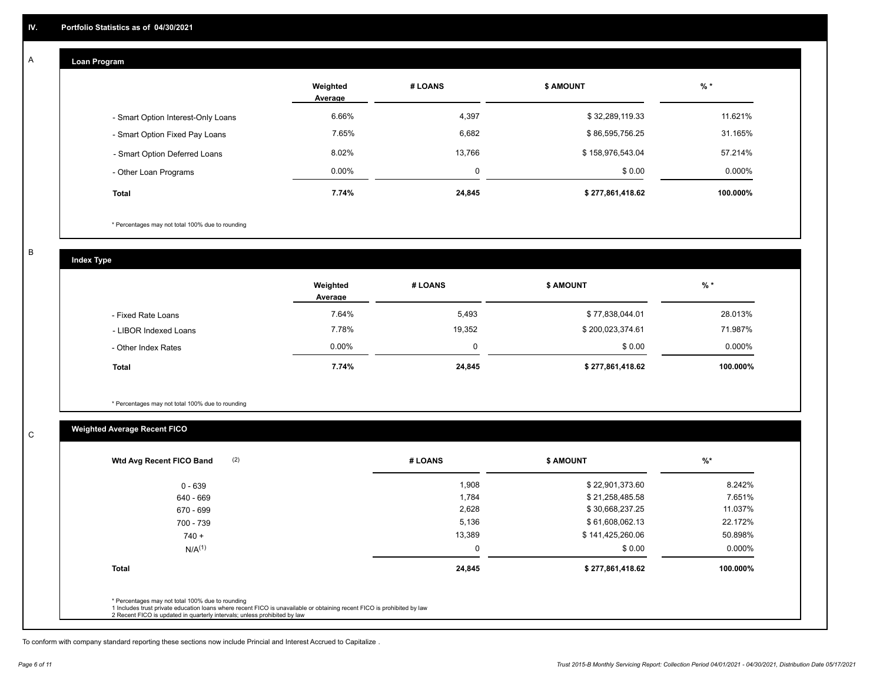#### **Loan Program**  A

|                                    | Weighted<br>Average | # LOANS | <b>\$ AMOUNT</b> | $%$ *    |
|------------------------------------|---------------------|---------|------------------|----------|
| - Smart Option Interest-Only Loans | 6.66%               | 4,397   | \$32,289,119.33  | 11.621%  |
| - Smart Option Fixed Pay Loans     | 7.65%               | 6,682   | \$86,595,756.25  | 31.165%  |
| - Smart Option Deferred Loans      | 8.02%               | 13,766  | \$158,976,543.04 | 57.214%  |
| - Other Loan Programs              | $0.00\%$            | 0       | \$0.00           | 0.000%   |
| <b>Total</b>                       | 7.74%               | 24,845  | \$277,861,418.62 | 100.000% |

\* Percentages may not total 100% due to rounding

B

C

**Index Type**

|                       | Weighted<br>Average | # LOANS | <b>\$ AMOUNT</b> | $%$ *     |
|-----------------------|---------------------|---------|------------------|-----------|
| - Fixed Rate Loans    | 7.64%               | 5,493   | \$77,838,044.01  | 28.013%   |
| - LIBOR Indexed Loans | 7.78%               | 19,352  | \$200,023,374.61 | 71.987%   |
| - Other Index Rates   | $0.00\%$            | 0       | \$0.00           | $0.000\%$ |
| <b>Total</b>          | 7.74%               | 24,845  | \$277,861,418.62 | 100.000%  |

\* Percentages may not total 100% due to rounding

### **Weighted Average Recent FICO**

| (2)<br>Wtd Avg Recent FICO Band | # LOANS  | \$ AMOUNT        | $%$ *    |
|---------------------------------|----------|------------------|----------|
| $0 - 639$                       | 1,908    | \$22,901,373.60  | 8.242%   |
| 640 - 669                       | 1,784    | \$21,258,485.58  | 7.651%   |
| 670 - 699                       | 2,628    | \$30,668,237.25  | 11.037%  |
| 700 - 739                       | 5,136    | \$61,608,062.13  | 22.172%  |
| $740 +$                         | 13,389   | \$141,425,260.06 | 50.898%  |
| N/A <sup>(1)</sup>              | $\Omega$ | \$0.00           | 0.000%   |
| <b>Total</b>                    | 24,845   | \$277,861,418.62 | 100.000% |
|                                 |          |                  |          |

To conform with company standard reporting these sections now include Princial and Interest Accrued to Capitalize .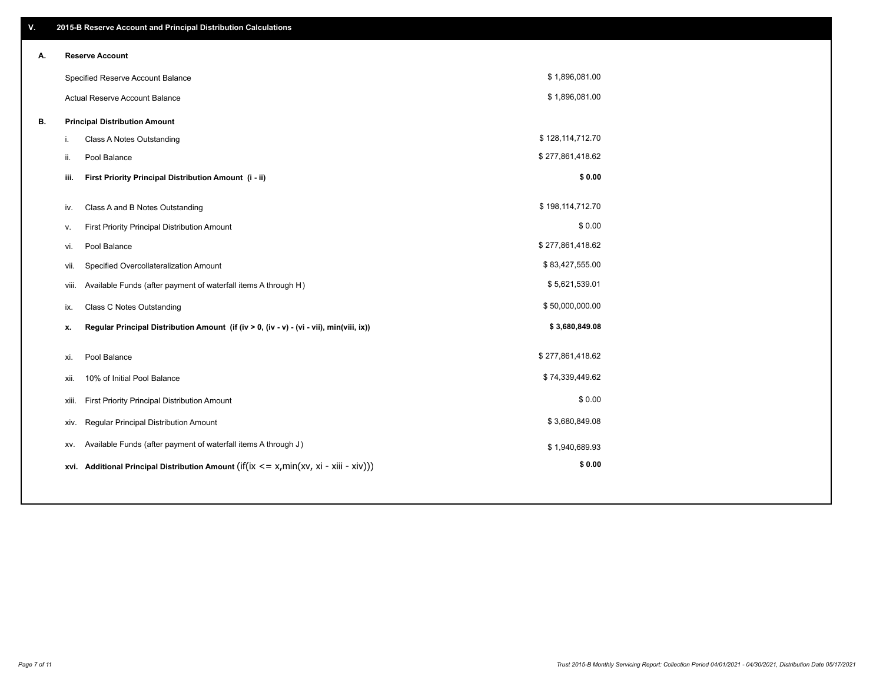| V. |                                         | 2015-B Reserve Account and Principal Distribution Calculations                           |                  |  |
|----|-----------------------------------------|------------------------------------------------------------------------------------------|------------------|--|
| А. | <b>Reserve Account</b>                  |                                                                                          |                  |  |
|    | Specified Reserve Account Balance       |                                                                                          | \$1,896,081.00   |  |
|    | Actual Reserve Account Balance          |                                                                                          | \$1,896,081.00   |  |
| В. | <b>Principal Distribution Amount</b>    |                                                                                          |                  |  |
|    | Class A Notes Outstanding<br>i.         |                                                                                          | \$128,114,712.70 |  |
|    | Pool Balance<br>ii.                     |                                                                                          | \$277,861,418.62 |  |
|    | iii.                                    | First Priority Principal Distribution Amount (i - ii)                                    | \$0.00           |  |
|    |                                         |                                                                                          | \$198,114,712.70 |  |
|    | iv.                                     | Class A and B Notes Outstanding                                                          |                  |  |
|    | v.                                      | First Priority Principal Distribution Amount                                             | \$0.00           |  |
|    | Pool Balance<br>vi.                     |                                                                                          | \$277,861,418.62 |  |
|    | vii.                                    | Specified Overcollateralization Amount                                                   | \$83,427,555.00  |  |
|    | viii.                                   | Available Funds (after payment of waterfall items A through H)                           | \$5,621,539.01   |  |
|    | <b>Class C Notes Outstanding</b><br>ix. |                                                                                          | \$50,000,000.00  |  |
|    | х.                                      | Regular Principal Distribution Amount (if (iv > 0, (iv - v) - (vi - vii), min(viii, ix)) | \$3,680,849.08   |  |
|    |                                         |                                                                                          |                  |  |
|    | Pool Balance<br>xi.                     |                                                                                          | \$277,861,418.62 |  |
|    | 10% of Initial Pool Balance<br>xii.     |                                                                                          | \$74,339,449.62  |  |
|    | xiii.                                   | First Priority Principal Distribution Amount                                             | \$0.00           |  |
|    | XIV.                                    | Regular Principal Distribution Amount                                                    | \$3,680,849.08   |  |
|    | XV.                                     | Available Funds (after payment of waterfall items A through J)                           | \$1,940,689.93   |  |
|    | xvi.                                    | Additional Principal Distribution Amount (if(ix <= x,min(xv, xi - xiii - xiv)))          | \$0.00           |  |
|    |                                         |                                                                                          |                  |  |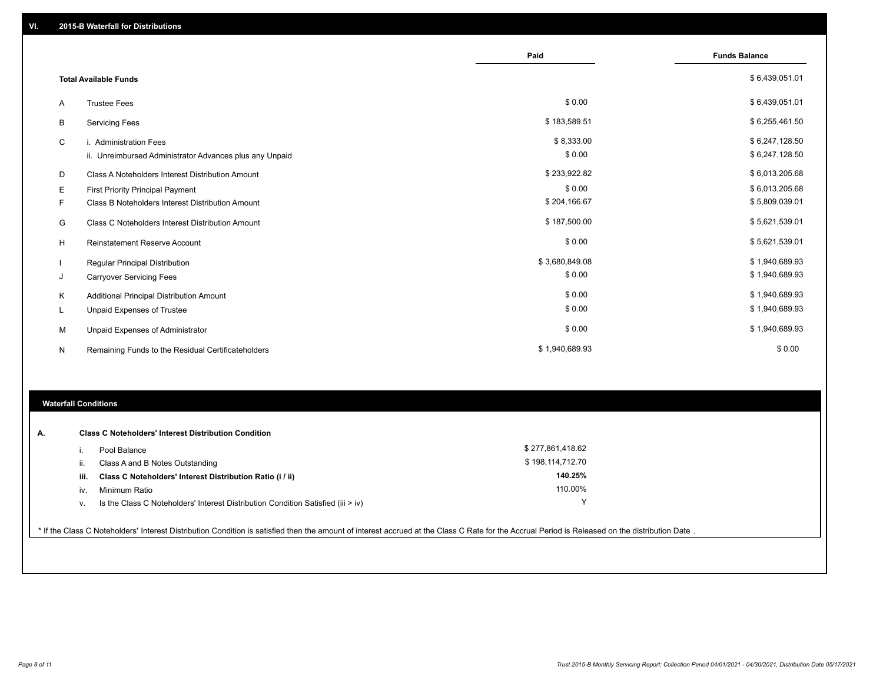|                |                                                         | Paid           | <b>Funds Balance</b> |
|----------------|---------------------------------------------------------|----------------|----------------------|
|                | <b>Total Available Funds</b>                            |                | \$6,439,051.01       |
| $\overline{A}$ | <b>Trustee Fees</b>                                     | \$0.00         | \$6,439,051.01       |
| B              | <b>Servicing Fees</b>                                   | \$183,589.51   | \$6,255,461.50       |
| C              | i. Administration Fees                                  | \$8,333.00     | \$6,247,128.50       |
|                | ii. Unreimbursed Administrator Advances plus any Unpaid | \$0.00         | \$6,247,128.50       |
| D              | Class A Noteholders Interest Distribution Amount        | \$233,922.82   | \$6,013,205.68       |
| Е              | <b>First Priority Principal Payment</b>                 | \$0.00         | \$6,013,205.68       |
| F              | Class B Noteholders Interest Distribution Amount        | \$204,166.67   | \$5,809,039.01       |
| G              | Class C Noteholders Interest Distribution Amount        | \$187,500.00   | \$5,621,539.01       |
| н              | <b>Reinstatement Reserve Account</b>                    | \$0.00         | \$5,621,539.01       |
|                | Regular Principal Distribution                          | \$3,680,849.08 | \$1,940,689.93       |
| J              | <b>Carryover Servicing Fees</b>                         | \$0.00         | \$1,940,689.93       |
| Κ              | Additional Principal Distribution Amount                | \$0.00         | \$1,940,689.93       |
| L              | Unpaid Expenses of Trustee                              | \$0.00         | \$1,940,689.93       |
| M              | Unpaid Expenses of Administrator                        | \$0.00         | \$1,940,689.93       |
| N              | Remaining Funds to the Residual Certificateholders      | \$1,940,689.93 | \$0.00               |

#### **Waterfall Conditions**

| А. |      | <b>Class C Noteholders' Interest Distribution Condition</b>                        |                  |  |
|----|------|------------------------------------------------------------------------------------|------------------|--|
|    |      | Pool Balance                                                                       | \$277,861,418.62 |  |
|    | Ш.   | Class A and B Notes Outstanding                                                    | \$198,114,712.70 |  |
|    | iii. | Class C Noteholders' Interest Distribution Ratio (i / ii)                          | 140.25%          |  |
|    | iv.  | Minimum Ratio                                                                      | 110.00%          |  |
|    | v.   | Is the Class C Noteholders' Interest Distribution Condition Satisfied (iii $>$ iv) | $\checkmark$     |  |
|    |      |                                                                                    |                  |  |

\* If the Class C Noteholders' Interest Distribution Condition is satisfied then the amount of interest accrued at the Class C Rate for the Accrual Period is Released on the distribution Date .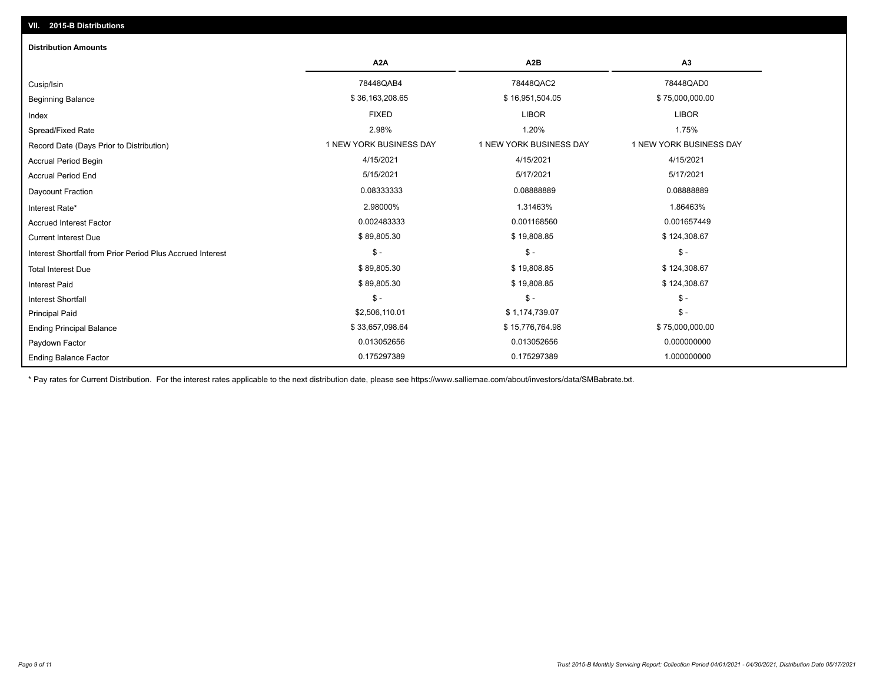## Ending Balance Factor Paydown Factor 0.013052656 0.013052656 0.000000000 Ending Principal Balance \$ 75,000,000.00 \$ \$ 33,657,098.64 \$ \$ 15,776,764.98 \$ 15,776,764.98 \$ 75,000,000.00 Principal Paid \$2,506,110.01 \$ 1,174,739.07 \$ - \$ - \$ - \$ - Interest Shortfall \$ 89,805.30 \$ 19,808.85 \$ 124,308.67 Interest Paid Total Interest Due \$ 89,805.30 \$ 19,808.85 \$ 124,308.67 \$ - \$ - \$ - Interest Shortfall from Prior Period Plus Accrued Interest Current Interest Due \$ 89,805.30 \$ 19,808.85 \$ 124,308.67 Accrued Interest Factor **0.001657449** 0.002483333 0.002483333 0.002483333 0.0001168560 0.001168560 0.001657449 Interest Rate\* 2.98000% 1.31463% 1.86463% Daycount Fraction 0.08333333 0.08888889 0.08888889 Accrual Period End 5/15/2021 5/17/2021 5/17/2021 Accrual Period Begin 4/15/2021 4/15/2021 4/15/2021 Record Date (Days Prior to Distribution) **1 NEW YORK BUSINESS DAY** 1 NEW YORK BUSINESS DAY 1 NEW YORK BUSINESS DAY Spread/Fixed Rate 2.98% 1.20% 1.75% Index FIXED LIBOR LIBOR Beginning Balance \$ 36,103,208.65 \$ \$ 16,951,504.05 \$ 16,951,504.05 \$ 75,000,000.00 \$ 75,000,000.00 \$ \$ 75,000 Cusip/Isin 78448QAB4 78448QAC2 78448QAD0 **A2A A2B A3** 0.175297389 0.175297389 1.000000000 **Distribution Amounts**

\* Pay rates for Current Distribution. For the interest rates applicable to the next distribution date, please see https://www.salliemae.com/about/investors/data/SMBabrate.txt.

**VII. 2015-B Distributions**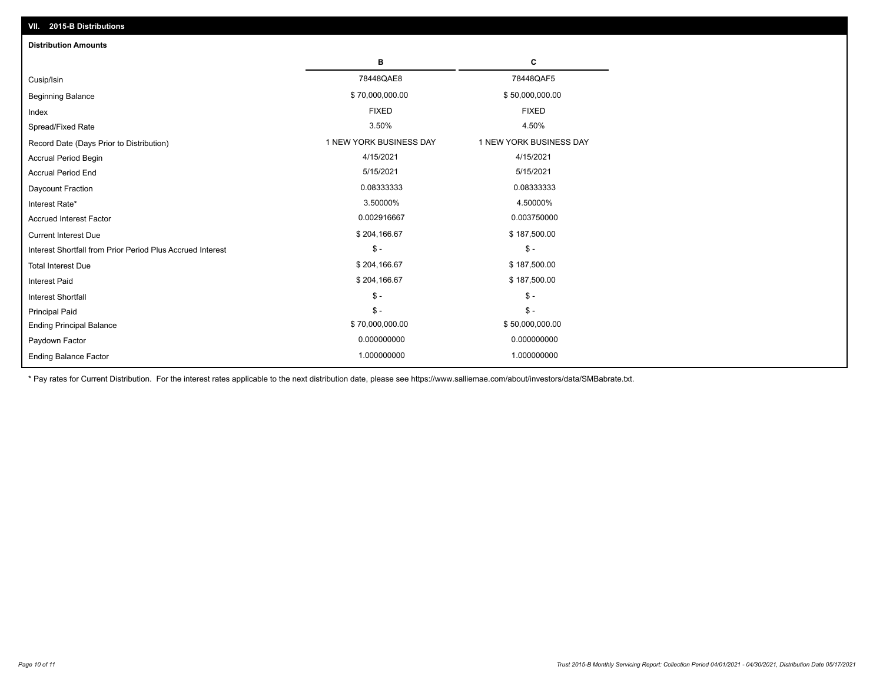| VII. 2015-B Distributions                                  |                         |                         |  |  |  |  |
|------------------------------------------------------------|-------------------------|-------------------------|--|--|--|--|
| <b>Distribution Amounts</b>                                |                         |                         |  |  |  |  |
|                                                            | в                       | С                       |  |  |  |  |
| Cusip/Isin                                                 | 78448QAE8               | 78448QAF5               |  |  |  |  |
| <b>Beginning Balance</b>                                   | \$70,000,000.00         | \$50,000,000.00         |  |  |  |  |
| Index                                                      | <b>FIXED</b>            | <b>FIXED</b>            |  |  |  |  |
| Spread/Fixed Rate                                          | 3.50%                   | 4.50%                   |  |  |  |  |
| Record Date (Days Prior to Distribution)                   | 1 NEW YORK BUSINESS DAY | 1 NEW YORK BUSINESS DAY |  |  |  |  |
| <b>Accrual Period Begin</b>                                | 4/15/2021               | 4/15/2021               |  |  |  |  |
| <b>Accrual Period End</b>                                  | 5/15/2021               | 5/15/2021               |  |  |  |  |
| Daycount Fraction                                          | 0.08333333              | 0.08333333              |  |  |  |  |
| Interest Rate*                                             | 3.50000%                | 4.50000%                |  |  |  |  |
| <b>Accrued Interest Factor</b>                             | 0.002916667             | 0.003750000             |  |  |  |  |
| <b>Current Interest Due</b>                                | \$204,166.67            | \$187,500.00            |  |  |  |  |
| Interest Shortfall from Prior Period Plus Accrued Interest | $\frac{1}{2}$           | $\frac{1}{2}$           |  |  |  |  |
| <b>Total Interest Due</b>                                  | \$204,166.67            | \$187,500.00            |  |  |  |  |
| Interest Paid                                              | \$204,166.67            | \$187,500.00            |  |  |  |  |
| Interest Shortfall                                         | $\frac{1}{2}$           | $$ -$                   |  |  |  |  |
| <b>Principal Paid</b>                                      | $\mathsf{\$}$ -         | $S -$                   |  |  |  |  |
| <b>Ending Principal Balance</b>                            | \$70,000,000.00         | \$50,000,000.00         |  |  |  |  |
| Paydown Factor                                             | 0.000000000             | 0.000000000             |  |  |  |  |
| <b>Ending Balance Factor</b>                               | 1.000000000             | 1.000000000             |  |  |  |  |

\* Pay rates for Current Distribution. For the interest rates applicable to the next distribution date, please see https://www.salliemae.com/about/investors/data/SMBabrate.txt.